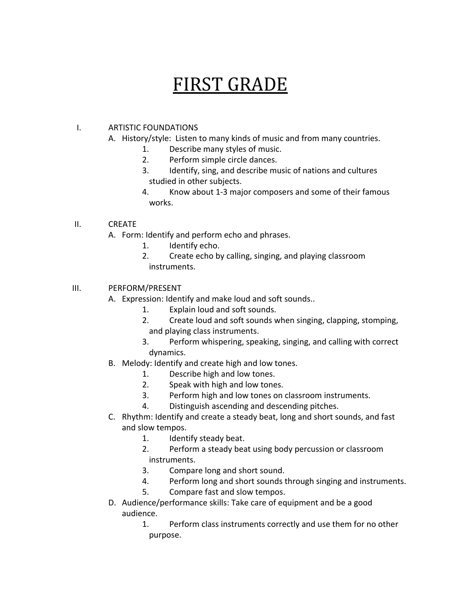## FIRST GRADE

## I. ARTISTIC FOUNDATIONS

- A. History/style: Listen to many kinds of music and from many countries.
	- 1. Describe many styles of music.
	- 2. Perform simple circle dances.
	- 3. Identify, sing, and describe music of nations and cultures studied in other subjects.
	- 4. Know about 1-3 major composers and some of their famous works.

## II. CREATE

- A. Form: Identify and perform echo and phrases.
	- 1. Identify echo.
	- 2. Create echo by calling, singing, and playing classroom instruments.

## III. PERFORM/PRESENT

- A. Expression: Identify and make loud and soft sounds..
	- 1. Explain loud and soft sounds.
	- 2. Create loud and soft sounds when singing, clapping, stomping, and playing class instruments.
	- 3. Perform whispering, speaking, singing, and calling with correct dynamics.
- B. Melody: Identify and create high and low tones.
	- 1. Describe high and low tones.
	- 2. Speak with high and low tones.
	- 3. Perform high and low tones on classroom instruments.
	- 4. Distinguish ascending and descending pitches.
- C. Rhythm: Identify and create a steady beat, long and short sounds, and fast and slow tempos.
	- 1. Identify steady beat.
	- 2. Perform a steady beat using body percussion or classroom instruments.
	- 3. Compare long and short sound.
	- 4. Perform long and short sounds through singing and instruments.
	- 5. Compare fast and slow tempos.
- D. Audience/performance skills: Take care of equipment and be a good audience.
	- 1. Perform class instruments correctly and use them for no other purpose.